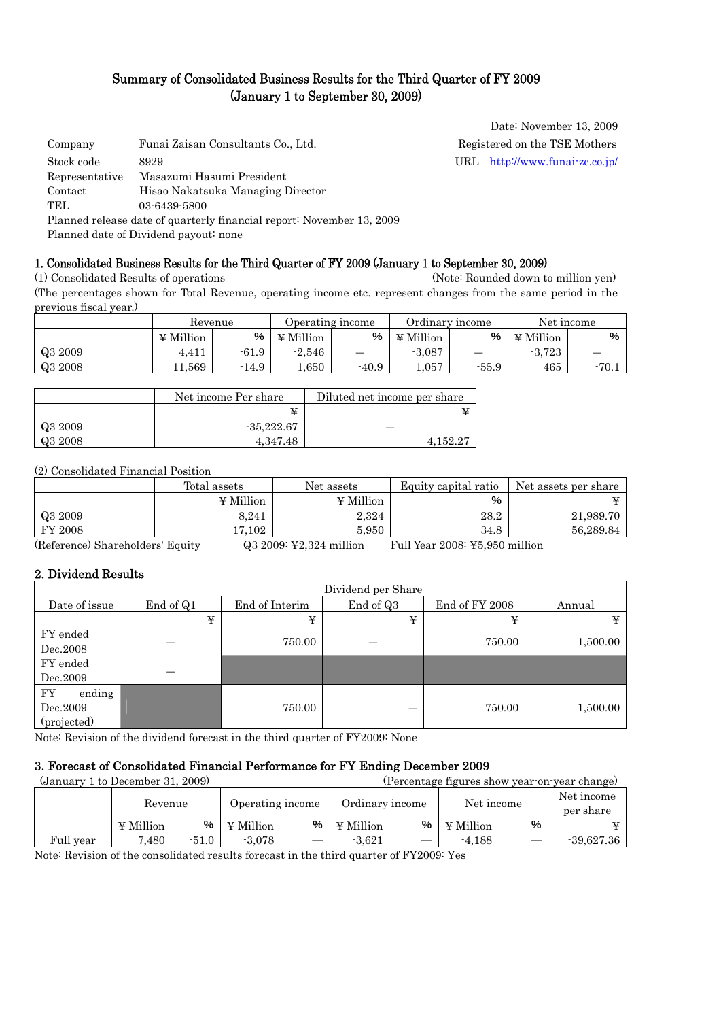# Summary of Consolidated Business Results for the Third Quarter of FY 2009 (January 1 to September 30, 2009)

| Company        | Funai Zaisan Consultants Co., Ltd.                                    | Registered on the TSE Mothers  |
|----------------|-----------------------------------------------------------------------|--------------------------------|
| Stock code     | 8929                                                                  | URL http://www.funai-zc.co.jp/ |
| Representative | Masazumi Hasumi President                                             |                                |
| Contact        | Hisao Nakatsuka Managing Director                                     |                                |
| TEL.           | 03-6439-5800                                                          |                                |
|                | Planned release date of quarterly financial report: November 13, 2009 |                                |
|                | Planned date of Dividend payout: none                                 |                                |

Date: November 13, 2009

## 1. Consolidated Business Results for the Third Quarter of FY 2009 (January 1 to September 30, 2009)

(1) Consolidated Results of operations (Note: Rounded down to million yen) (The percentages shown for Total Revenue, operating income etc. represent changes from the same period in the previous fiscal year.)

|         |           | Revenue |                  | <b>Derating income</b> |           | Ordinary income |                  | Net income |
|---------|-----------|---------|------------------|------------------------|-----------|-----------------|------------------|------------|
|         | ¥ Million | %       | $\angle$ Million | %                      | ¥ Million | %               | $\angle$ Million | $\%$       |
| Q3 2009 | 4,411     | $-61.9$ | $-2.546$         | _                      | $-3,087$  |                 | $-3,723$         |            |
| Q3 2008 | 1.569.    | $-14.9$ | 650              | $-40.9$                | 0.057     | $-55.9$         | 465              | $-70.1$    |

|         | Net income Per share | Diluted net income per share |
|---------|----------------------|------------------------------|
|         |                      |                              |
| Q3 2009 | $-35.222.67$         |                              |
| Q3 2008 | 4.347.48             | $4,152.2^{\circ}$            |

## (2) Consolidated Financial Position

|                | Total assets | Net assets       | Equity capital ratio | Net assets per share |
|----------------|--------------|------------------|----------------------|----------------------|
|                | ¥ Million    | $\angle$ Million | %                    |                      |
| Q3 2009        | 8,241        | 2,324            | 28.2                 | 21,989.70            |
| <b>FY 2008</b> | 17.102       | 5.950            | 34.8                 | 56.289.84            |

(Reference) Shareholders' Equity Q3 2009: ¥2,324 million Full Year 2008: ¥5,950 million

## 2. Dividend Results

|                                         | Dividend per Share |                |           |                |          |  |
|-----------------------------------------|--------------------|----------------|-----------|----------------|----------|--|
| Date of issue                           | End of Q1          | End of Interim | End of Q3 | End of FY 2008 | Annual   |  |
|                                         | ¥                  | ¥              | ¥         | ¥              | ¥        |  |
| FY ended<br>Dec.2008                    |                    | 750.00         |           | 750.00         | 1,500.00 |  |
| FY ended<br>Dec.2009                    |                    |                |           |                |          |  |
| FY<br>ending<br>Dec.2009<br>(projected) |                    | 750.00         |           | 750.00         | 1,500.00 |  |

Note: Revision of the dividend forecast in the third quarter of FY2009: None

#### 3. Forecast of Consolidated Financial Performance for FY Ending December 2009

|           | (January 1 to December 31, 2009) |       | (Percentage figures show year on year change) |                   |                 |                   |                  |      |                         |
|-----------|----------------------------------|-------|-----------------------------------------------|-------------------|-----------------|-------------------|------------------|------|-------------------------|
|           | Revenue                          |       | Operating income                              |                   | Ordinary income |                   | Net income       |      | Net income<br>per share |
|           | $\angle$ Million                 | $\%$  | $\angle$ Million                              | %                 | ¥ Million       | %                 | $\angle$ Million | $\%$ |                         |
| Full year | 7.480                            | -51.0 | $-3.078$                                      | $\hspace{0.05cm}$ | $-3.621$        | $\hspace{0.05cm}$ | -4.188           |      | $-39.627.36$            |

Note: Revision of the consolidated results forecast in the third quarter of FY2009: Yes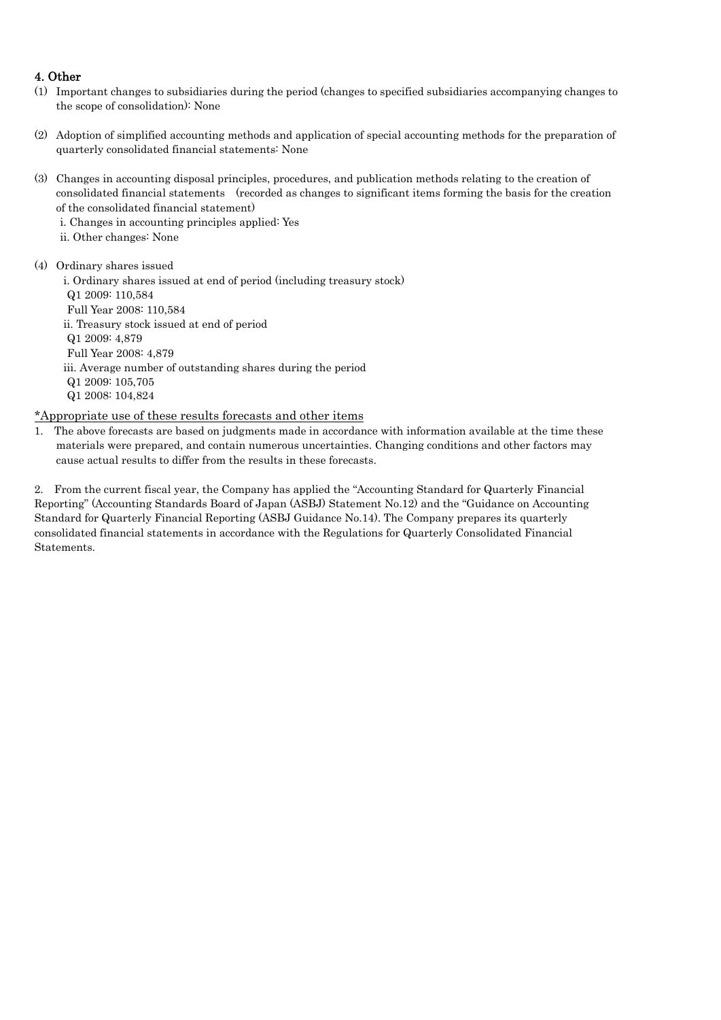## 4. Other

- (1) Important changes to subsidiaries during the period (changes to specified subsidiaries accompanying changes to the scope of consolidation): None
- (2) Adoption of simplified accounting methods and application of special accounting methods for the preparation of quarterly consolidated financial statements: None
- (3) Changes in accounting disposal principles, procedures, and publication methods relating to the creation of consolidated financial statements (recorded as changes to significant items forming the basis for the creation of the consolidated financial statement)
	- i. Changes in accounting principles applied: Yes
	- ii. Other changes: None
- (4) Ordinary shares issued

i. Ordinary shares issued at end of period (including treasury stock) Q1 2009: 110,584 Full Year 2008: 110,584 ii. Treasury stock issued at end of period Q1 2009: 4,879 Full Year 2008: 4,879 iii. Average number of outstanding shares during the period Q1 2009: 105,705 Q1 2008: 104,824

## \*Appropriate use of these results forecasts and other items

1. The above forecasts are based on judgments made in accordance with information available at the time these materials were prepared, and contain numerous uncertainties. Changing conditions and other factors may cause actual results to differ from the results in these forecasts.

2. From the current fiscal year, the Company has applied the "Accounting Standard for Quarterly Financial Reporting" (Accounting Standards Board of Japan (ASBJ) Statement No.12) and the "Guidance on Accounting Standard for Quarterly Financial Reporting (ASBJ Guidance No.14). The Company prepares its quarterly consolidated financial statements in accordance with the Regulations for Quarterly Consolidated Financial Statements.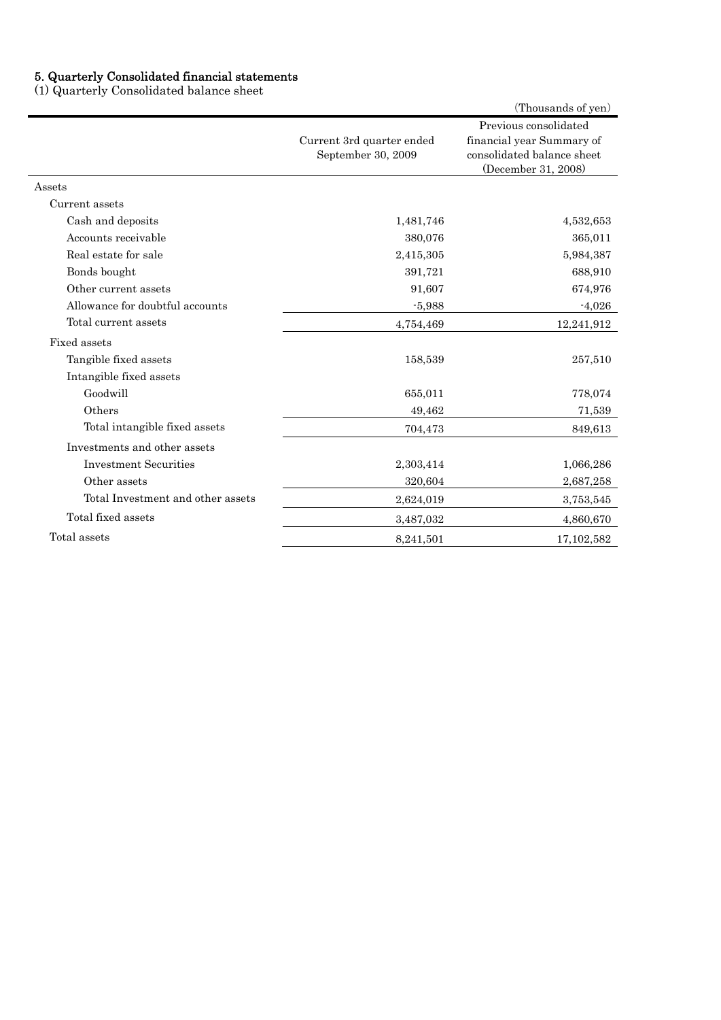#### 5. Quarterly Consolidated financial statements

(1) Quarterly Consolidated balance sheet

|                                   |                                                 | (Thousands of yen)                                                                                      |
|-----------------------------------|-------------------------------------------------|---------------------------------------------------------------------------------------------------------|
|                                   | Current 3rd quarter ended<br>September 30, 2009 | Previous consolidated<br>financial year Summary of<br>consolidated balance sheet<br>(December 31, 2008) |
| Assets                            |                                                 |                                                                                                         |
| Current assets                    |                                                 |                                                                                                         |
| Cash and deposits                 | 1,481,746                                       | 4,532,653                                                                                               |
| Accounts receivable               | 380,076                                         | 365,011                                                                                                 |
| Real estate for sale              | 2,415,305                                       | 5,984,387                                                                                               |
| Bonds bought                      | 391,721                                         | 688,910                                                                                                 |
| Other current assets              | 91,607                                          | 674,976                                                                                                 |
| Allowance for doubtful accounts   | $-5,988$                                        | $-4,026$                                                                                                |
| Total current assets              | 4,754,469                                       | 12,241,912                                                                                              |
| Fixed assets                      |                                                 |                                                                                                         |
| Tangible fixed assets             | 158,539                                         | 257,510                                                                                                 |
| Intangible fixed assets           |                                                 |                                                                                                         |
| Goodwill                          | 655,011                                         | 778,074                                                                                                 |
| Others                            | 49,462                                          | 71,539                                                                                                  |
| Total intangible fixed assets     | 704,473                                         | 849,613                                                                                                 |
| Investments and other assets      |                                                 |                                                                                                         |
| <b>Investment Securities</b>      | 2,303,414                                       | 1,066,286                                                                                               |
| Other assets                      | 320,604                                         | 2,687,258                                                                                               |
| Total Investment and other assets | 2,624,019                                       | 3,753,545                                                                                               |
| Total fixed assets                | 3,487,032                                       | 4,860,670                                                                                               |
| Total assets                      | 8,241,501                                       | 17, 102, 582                                                                                            |
|                                   |                                                 |                                                                                                         |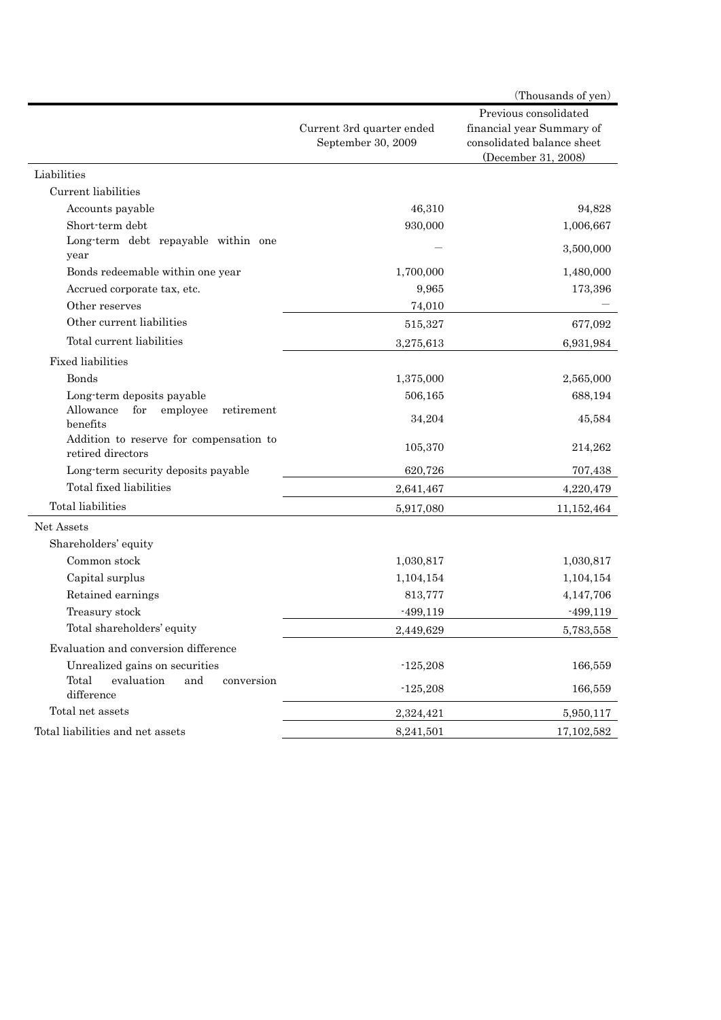|                                                                                                   |                                                 | (Thousands of yen)                                                                                      |
|---------------------------------------------------------------------------------------------------|-------------------------------------------------|---------------------------------------------------------------------------------------------------------|
|                                                                                                   | Current 3rd quarter ended<br>September 30, 2009 | Previous consolidated<br>financial year Summary of<br>consolidated balance sheet<br>(December 31, 2008) |
| Liabilities                                                                                       |                                                 |                                                                                                         |
| Current liabilities                                                                               |                                                 |                                                                                                         |
| Accounts payable                                                                                  | 46,310                                          | 94,828                                                                                                  |
| Short-term debt                                                                                   | 930,000                                         | 1,006,667                                                                                               |
| Long-term debt repayable within one<br>year                                                       |                                                 | 3,500,000                                                                                               |
| Bonds redeemable within one year                                                                  | 1,700,000                                       | 1,480,000                                                                                               |
| Accrued corporate tax, etc.                                                                       | 9,965                                           | 173,396                                                                                                 |
| Other reserves                                                                                    | 74,010                                          |                                                                                                         |
| Other current liabilities                                                                         | 515,327                                         | 677,092                                                                                                 |
| Total current liabilities                                                                         | 3,275,613                                       | 6,931,984                                                                                               |
| <b>Fixed liabilities</b>                                                                          |                                                 |                                                                                                         |
| Bonds                                                                                             | 1,375,000                                       | 2,565,000                                                                                               |
| Long-term deposits payable                                                                        | 506,165                                         | 688,194                                                                                                 |
| Allowance<br>for<br>employee<br>retirement<br>benefits<br>Addition to reserve for compensation to | 34,204                                          | 45,584                                                                                                  |
| retired directors                                                                                 | 105,370                                         | 214,262                                                                                                 |
| Long-term security deposits payable                                                               | 620,726                                         | 707,438                                                                                                 |
| Total fixed liabilities                                                                           | 2,641,467                                       | 4,220,479                                                                                               |
| Total liabilities                                                                                 | 5,917,080                                       | 11,152,464                                                                                              |
| Net Assets                                                                                        |                                                 |                                                                                                         |
| Shareholders' equity                                                                              |                                                 |                                                                                                         |
| Common stock                                                                                      | 1,030,817                                       | 1,030,817                                                                                               |
| Capital surplus                                                                                   | 1,104,154                                       | 1,104,154                                                                                               |
| Retained earnings                                                                                 | 813,777                                         | 4,147,706                                                                                               |
| Treasury stock                                                                                    | $-499,119$                                      | $-499,119$                                                                                              |
| Total shareholders' equity                                                                        | 2,449,629                                       | 5,783,558                                                                                               |
| Evaluation and conversion difference                                                              |                                                 |                                                                                                         |
| Unrealized gains on securities                                                                    | $-125,208$                                      | 166,559                                                                                                 |
| Total<br>evaluation<br>and<br>conversion<br>difference                                            | $-125,208$                                      | 166,559                                                                                                 |
| Total net assets                                                                                  | 2,324,421                                       | 5,950,117                                                                                               |
| Total liabilities and net assets                                                                  | 8,241,501                                       | 17,102,582                                                                                              |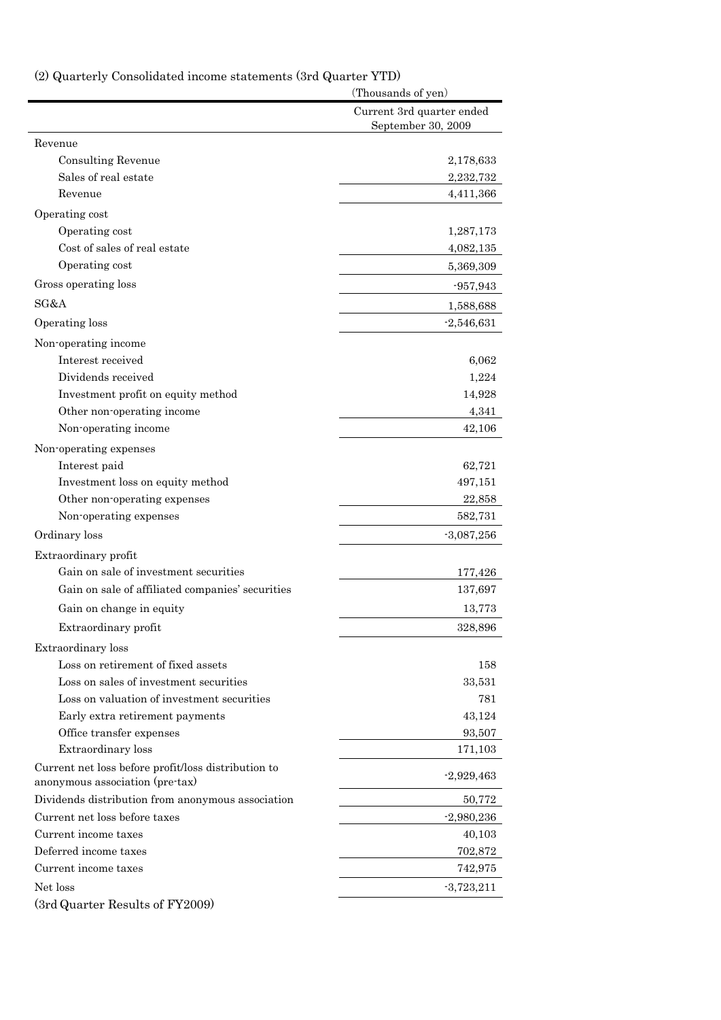(2) Quarterly Consolidated income statements (3rd Quarter YTD)

|                                                                                        | (Thousands of yen)                              |
|----------------------------------------------------------------------------------------|-------------------------------------------------|
|                                                                                        | Current 3rd quarter ended<br>September 30, 2009 |
| Revenue                                                                                |                                                 |
| <b>Consulting Revenue</b>                                                              | 2,178,633                                       |
| Sales of real estate                                                                   | 2,232,732                                       |
| Revenue                                                                                | 4,411,366                                       |
| Operating cost                                                                         |                                                 |
| Operating cost                                                                         | 1,287,173                                       |
| Cost of sales of real estate                                                           | 4,082,135                                       |
| Operating cost                                                                         | 5,369,309                                       |
| Gross operating loss                                                                   | $-957,943$                                      |
| SG&A                                                                                   | 1,588,688                                       |
| Operating loss                                                                         | $-2,546,631$                                    |
| Non-operating income                                                                   |                                                 |
| Interest received                                                                      | 6,062                                           |
| Dividends received                                                                     | 1,224                                           |
| Investment profit on equity method                                                     | 14,928                                          |
| Other non-operating income                                                             | 4,341                                           |
| Non-operating income                                                                   | 42,106                                          |
| Non-operating expenses                                                                 |                                                 |
| Interest paid                                                                          | 62,721                                          |
| Investment loss on equity method                                                       | 497,151                                         |
| Other non-operating expenses                                                           | 22,858                                          |
| Non-operating expenses                                                                 | 582,731                                         |
| Ordinary loss                                                                          | $-3,087,256$                                    |
|                                                                                        |                                                 |
| Extraordinary profit<br>Gain on sale of investment securities                          |                                                 |
|                                                                                        | 177,426                                         |
| Gain on sale of affiliated companies' securities                                       | 137,697                                         |
| Gain on change in equity                                                               | 13,773                                          |
| Extraordinary profit                                                                   | 328,896                                         |
| Extraordinary loss                                                                     |                                                 |
| Loss on retirement of fixed assets                                                     | 158                                             |
| Loss on sales of investment securities                                                 | 33,531                                          |
| Loss on valuation of investment securities                                             | 781                                             |
| Early extra retirement payments                                                        | 43,124                                          |
| Office transfer expenses                                                               | 93,507                                          |
| Extraordinary loss                                                                     | 171,103                                         |
| Current net loss before profit/loss distribution to<br>anonymous association (pre-tax) | $-2,929,463$                                    |
| Dividends distribution from anonymous association                                      | 50,772                                          |
| Current net loss before taxes                                                          | $-2,980,236$                                    |
| Current income taxes                                                                   | 40,103                                          |
| Deferred income taxes                                                                  | 702,872                                         |
| Current income taxes                                                                   | 742,975                                         |
| Net loss                                                                               | $-3,723,211$                                    |
| (3rd Quarter Results of FY2009)                                                        |                                                 |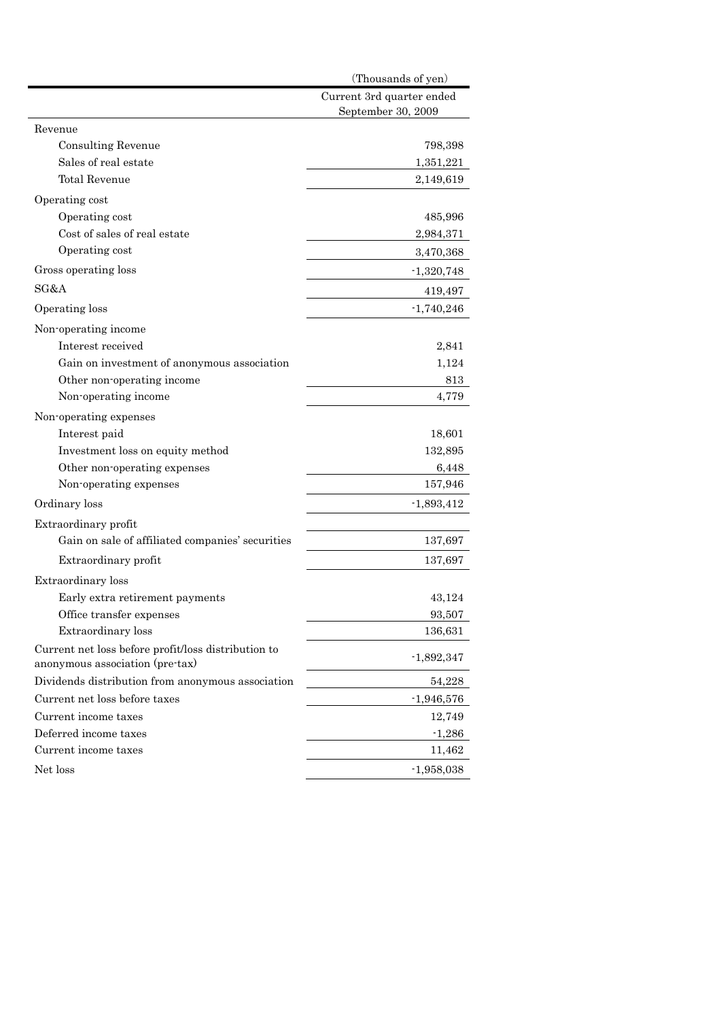|                                                                                        | (Thousands of yen)                              |
|----------------------------------------------------------------------------------------|-------------------------------------------------|
|                                                                                        | Current 3rd quarter ended<br>September 30, 2009 |
| Revenue                                                                                |                                                 |
| <b>Consulting Revenue</b>                                                              | 798,398                                         |
| Sales of real estate                                                                   | 1,351,221                                       |
| <b>Total Revenue</b>                                                                   | 2,149,619                                       |
| Operating cost                                                                         |                                                 |
| Operating cost                                                                         | 485,996                                         |
| Cost of sales of real estate                                                           | 2,984,371                                       |
| Operating cost                                                                         | 3,470,368                                       |
| Gross operating loss                                                                   | $-1,320,748$                                    |
| SG&A                                                                                   | 419,497                                         |
| Operating loss                                                                         | $-1,740,246$                                    |
| Non-operating income                                                                   |                                                 |
| Interest received                                                                      | 2,841                                           |
| Gain on investment of anonymous association                                            | 1,124                                           |
| Other non-operating income                                                             | 813                                             |
| Non-operating income                                                                   | 4,779                                           |
| Non-operating expenses                                                                 |                                                 |
| Interest paid                                                                          | 18,601                                          |
| Investment loss on equity method                                                       | 132,895                                         |
| Other non-operating expenses                                                           | 6,448                                           |
| Non-operating expenses                                                                 | 157,946                                         |
| Ordinary loss                                                                          | $-1,893,412$                                    |
| Extraordinary profit                                                                   |                                                 |
| Gain on sale of affiliated companies' securities                                       | 137,697                                         |
| Extraordinary profit                                                                   | 137,697                                         |
| Extraordinary loss                                                                     |                                                 |
| Early extra retirement payments                                                        | 43,124                                          |
| Office transfer expenses                                                               | 93.507                                          |
| Extraordinary loss                                                                     | 136,631                                         |
| Current net loss before profit/loss distribution to<br>anonymous association (pre-tax) | $-1,892,347$                                    |
| Dividends distribution from anonymous association                                      | 54,228                                          |
| Current net loss before taxes                                                          | $-1,946,576$                                    |
| Current income taxes                                                                   | 12,749                                          |
| Deferred income taxes                                                                  | $-1,286$                                        |
| Current income taxes                                                                   | 11,462                                          |
| Net loss                                                                               | $-1,958,038$                                    |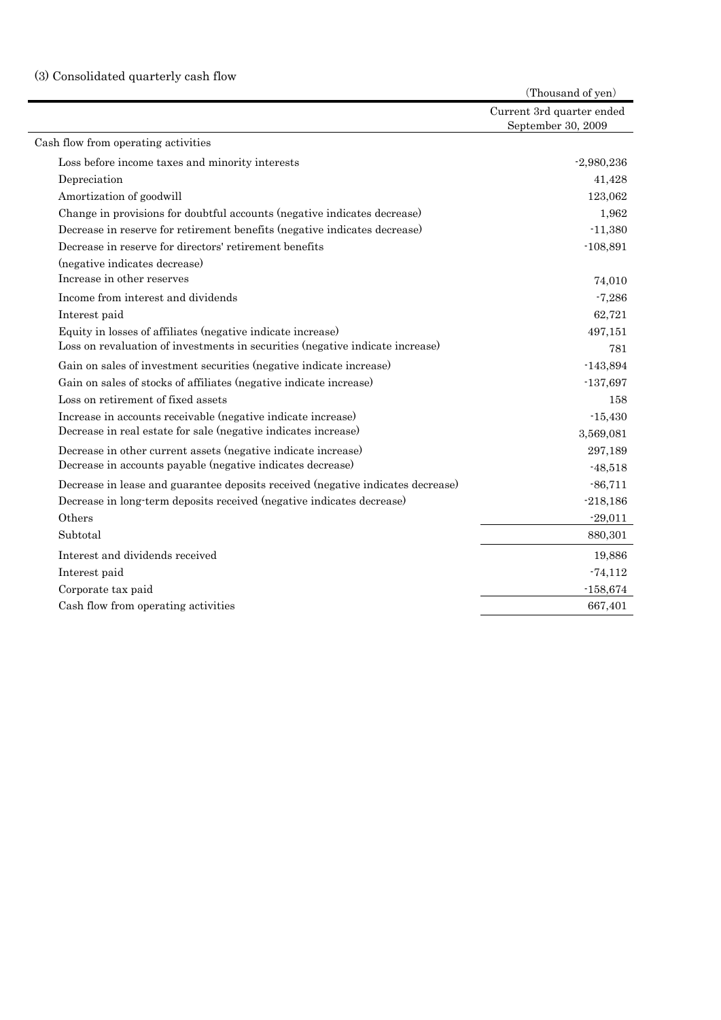# (3) Consolidated quarterly cash flow

|                                                                                 | (Thousand of yen)                               |
|---------------------------------------------------------------------------------|-------------------------------------------------|
|                                                                                 | Current 3rd quarter ended<br>September 30, 2009 |
| Cash flow from operating activities                                             |                                                 |
| Loss before income taxes and minority interests                                 | $-2,980,236$                                    |
| Depreciation                                                                    | 41,428                                          |
| Amortization of goodwill                                                        | 123,062                                         |
| Change in provisions for doubtful accounts (negative indicates decrease)        | 1,962                                           |
| Decrease in reserve for retirement benefits (negative indicates decrease)       | $-11,380$                                       |
| Decrease in reserve for directors' retirement benefits                          | $-108,891$                                      |
| (negative indicates decrease)                                                   |                                                 |
| Increase in other reserves                                                      | 74,010                                          |
| Income from interest and dividends                                              | $-7,286$                                        |
| Interest paid                                                                   | 62,721                                          |
| Equity in losses of affiliates (negative indicate increase)                     | 497,151                                         |
| Loss on revaluation of investments in securities (negative indicate increase)   | 781                                             |
| Gain on sales of investment securities (negative indicate increase)             | $-143,894$                                      |
| Gain on sales of stocks of affiliates (negative indicate increase)              | $-137,697$                                      |
| Loss on retirement of fixed assets                                              | 158                                             |
| Increase in accounts receivable (negative indicate increase)                    | $-15,430$                                       |
| Decrease in real estate for sale (negative indicates increase)                  | 3,569,081                                       |
| Decrease in other current assets (negative indicate increase)                   | 297,189                                         |
| Decrease in accounts payable (negative indicates decrease)                      | $-48,518$                                       |
| Decrease in lease and guarantee deposits received (negative indicates decrease) | $-86,711$                                       |
| Decrease in long-term deposits received (negative indicates decrease)           | $-218,186$                                      |
| Others                                                                          | $-29,011$                                       |
| Subtotal                                                                        | 880,301                                         |
| Interest and dividends received                                                 | 19,886                                          |
| Interest paid                                                                   | $-74,112$                                       |
| Corporate tax paid                                                              | $-158,674$                                      |
| Cash flow from operating activities                                             | 667,401                                         |
|                                                                                 |                                                 |